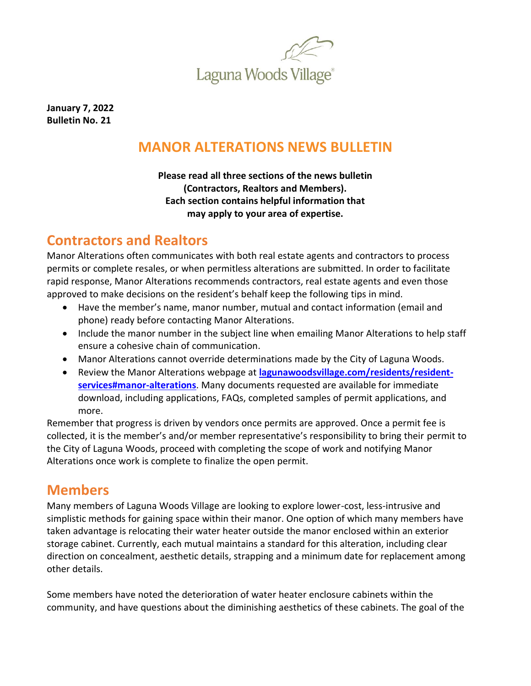

**January 7, 2022 Bulletin No. 21**

# **MANOR ALTERATIONS NEWS BULLETIN**

#### **Please read all three sections of the news bulletin (Contractors, Realtors and Members). Each section contains helpful information that may apply to your area of expertise.**

# **Contractors and Realtors**

Manor Alterations often communicates with both real estate agents and contractors to process permits or complete resales, or when permitless alterations are submitted. In order to facilitate rapid response, Manor Alterations recommends contractors, real estate agents and even those approved to make decisions on the resident's behalf keep the following tips in mind.

- Have the member's name, manor number, mutual and contact information (email and phone) ready before contacting Manor Alterations.
- Include the manor number in the subject line when emailing Manor Alterations to help staff ensure a cohesive chain of communication.
- Manor Alterations cannot override determinations made by the City of Laguna Woods.
- Review the Manor Alterations webpage at **[lagunawoodsvillage.com/residents/resident](https://www.lagunawoodsvillage.com/residents/resident-services#manor-alterations)[services#manor-alterations](https://www.lagunawoodsvillage.com/residents/resident-services#manor-alterations)**. Many documents requested are available for immediate download, including applications, FAQs, completed samples of permit applications, and more.

Remember that progress is driven by vendors once permits are approved. Once a permit fee is collected, it is the member's and/or member representative's responsibility to bring their permit to the City of Laguna Woods, proceed with completing the scope of work and notifying Manor Alterations once work is complete to finalize the open permit.

### **Members**

Many members of Laguna Woods Village are looking to explore lower-cost, less-intrusive and simplistic methods for gaining space within their manor. One option of which many members have taken advantage is relocating their water heater outside the manor enclosed within an exterior storage cabinet. Currently, each mutual maintains a standard for this alteration, including clear direction on concealment, aesthetic details, strapping and a minimum date for replacement among other details.

Some members have noted the deterioration of water heater enclosure cabinets within the community, and have questions about the diminishing aesthetics of these cabinets. The goal of the